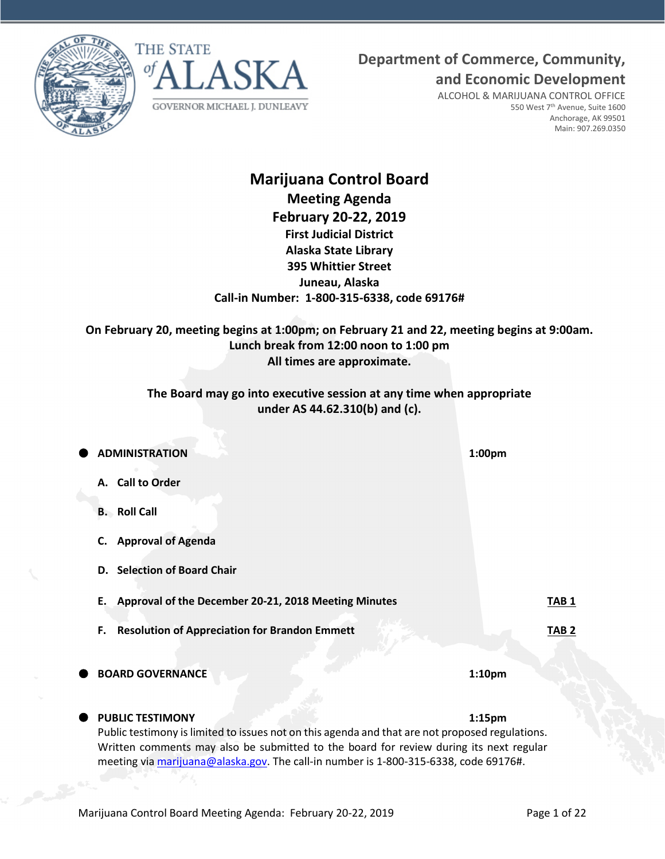



**Department of Commerce, Community,**

**and Economic Development**

ALCOHOL & MARIJUANA CONTROL OFFICE 550 West 7th Avenue, Suite 1600 Anchorage, AK 99501 Main: 907.269.0350

# **Marijuana Control Board Meeting Agenda February 20-22, 2019 First Judicial District Alaska State Library 395 Whittier Street Juneau, Alaska Call-in Number: 1-800-315-6338, code 69176#**

**On February 20, meeting begins at 1:00pm; on February 21 and 22, meeting begins at 9:00am. Lunch break from 12:00 noon to 1:00 pm All times are approximate.**

# **The Board may go into executive session at any time when appropriate under AS 44.62.310(b) and (c).**

| <b>ADMINISTRATION</b>                                                                                                                                                                                                                                                             | 1:00 <sub>pm</sub> |
|-----------------------------------------------------------------------------------------------------------------------------------------------------------------------------------------------------------------------------------------------------------------------------------|--------------------|
| A. Call to Order                                                                                                                                                                                                                                                                  |                    |
| <b>B.</b> Roll Call                                                                                                                                                                                                                                                               |                    |
| <b>Approval of Agenda</b><br>C.                                                                                                                                                                                                                                                   |                    |
| D. Selection of Board Chair                                                                                                                                                                                                                                                       |                    |
| Approval of the December 20-21, 2018 Meeting Minutes<br>Е.                                                                                                                                                                                                                        | TAB 1              |
| <b>Resolution of Appreciation for Brandon Emmett</b><br>F.                                                                                                                                                                                                                        | TAB <sub>2</sub>   |
| <b>BOARD GOVERNANCE</b>                                                                                                                                                                                                                                                           | 1:10 <sub>pm</sub> |
| <b>PUBLIC TESTIMONY</b>                                                                                                                                                                                                                                                           | 1:15 <sub>pm</sub> |
| Public testimony is limited to issues not on this agenda and that are not proposed regulations.<br>Written comments may also be submitted to the board for review during its next regular<br>meeting via marijuana@alaska.gov. The call-in number is 1-800-315-6338, code 69176#. |                    |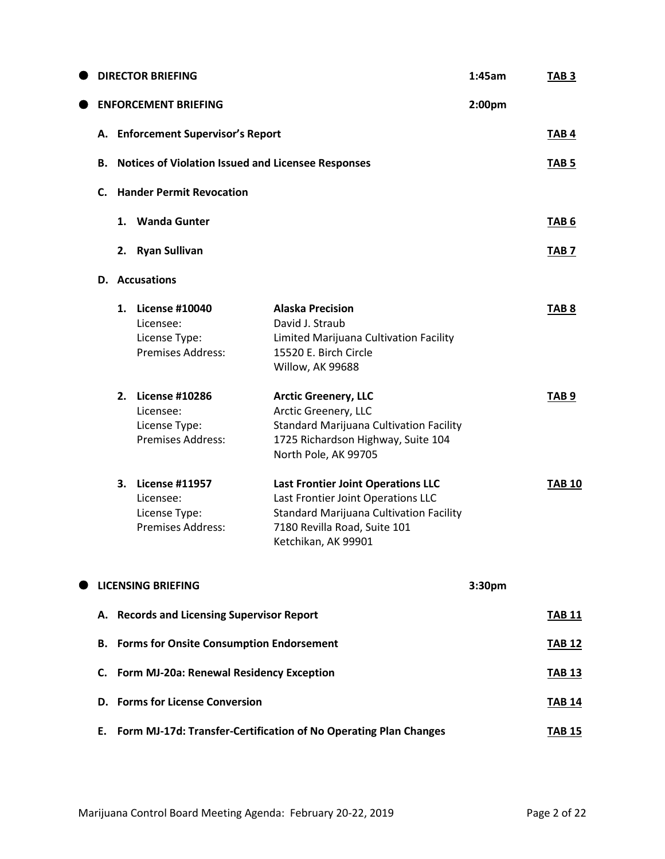|    |    | <b>DIRECTOR BRIEFING</b>                                                    |                                                                                                                                                                                          | 1:45am | TAB <sub>3</sub> |
|----|----|-----------------------------------------------------------------------------|------------------------------------------------------------------------------------------------------------------------------------------------------------------------------------------|--------|------------------|
|    |    | <b>ENFORCEMENT BRIEFING</b>                                                 |                                                                                                                                                                                          | 2:00pm |                  |
|    |    | A. Enforcement Supervisor's Report                                          |                                                                                                                                                                                          |        | TAB <sub>4</sub> |
| В. |    |                                                                             | <b>Notices of Violation Issued and Licensee Responses</b>                                                                                                                                |        | TAB 5            |
| C. |    | <b>Hander Permit Revocation</b>                                             |                                                                                                                                                                                          |        |                  |
|    |    | 1. Wanda Gunter                                                             |                                                                                                                                                                                          |        | TAB <sub>6</sub> |
|    |    | 2. Ryan Sullivan                                                            |                                                                                                                                                                                          |        | TAB <sub>7</sub> |
|    |    | D. Accusations                                                              |                                                                                                                                                                                          |        |                  |
|    |    | 1. License #10040<br>Licensee:<br>License Type:<br><b>Premises Address:</b> | <b>Alaska Precision</b><br>David J. Straub<br>Limited Marijuana Cultivation Facility<br>15520 E. Birch Circle<br>Willow, AK 99688                                                        |        | TAB <sub>8</sub> |
|    |    | 2. License #10286<br>Licensee:<br>License Type:<br><b>Premises Address:</b> | <b>Arctic Greenery, LLC</b><br>Arctic Greenery, LLC<br><b>Standard Marijuana Cultivation Facility</b><br>1725 Richardson Highway, Suite 104<br>North Pole, AK 99705                      |        | TAB <sub>9</sub> |
|    | 3. | <b>License #11957</b><br>Licensee:<br>License Type:<br>Premises Address:    | <b>Last Frontier Joint Operations LLC</b><br>Last Frontier Joint Operations LLC<br><b>Standard Marijuana Cultivation Facility</b><br>7180 Revilla Road, Suite 101<br>Ketchikan, AK 99901 |        | <b>TAB 10</b>    |
|    |    | <b>LICENSING BRIEFING</b>                                                   |                                                                                                                                                                                          | 3:30pm |                  |
|    |    | A. Records and Licensing Supervisor Report                                  |                                                                                                                                                                                          |        | <b>TAB 11</b>    |
| В. |    | <b>Forms for Onsite Consumption Endorsement</b>                             |                                                                                                                                                                                          |        | <b>TAB 12</b>    |
|    |    | C. Form MJ-20a: Renewal Residency Exception                                 |                                                                                                                                                                                          |        | <b>TAB 13</b>    |
|    |    | <b>D.</b> Forms for License Conversion                                      |                                                                                                                                                                                          |        | <b>TAB 14</b>    |
|    |    |                                                                             | E. Form MJ-17d: Transfer-Certification of No Operating Plan Changes                                                                                                                      |        | <b>TAB 15</b>    |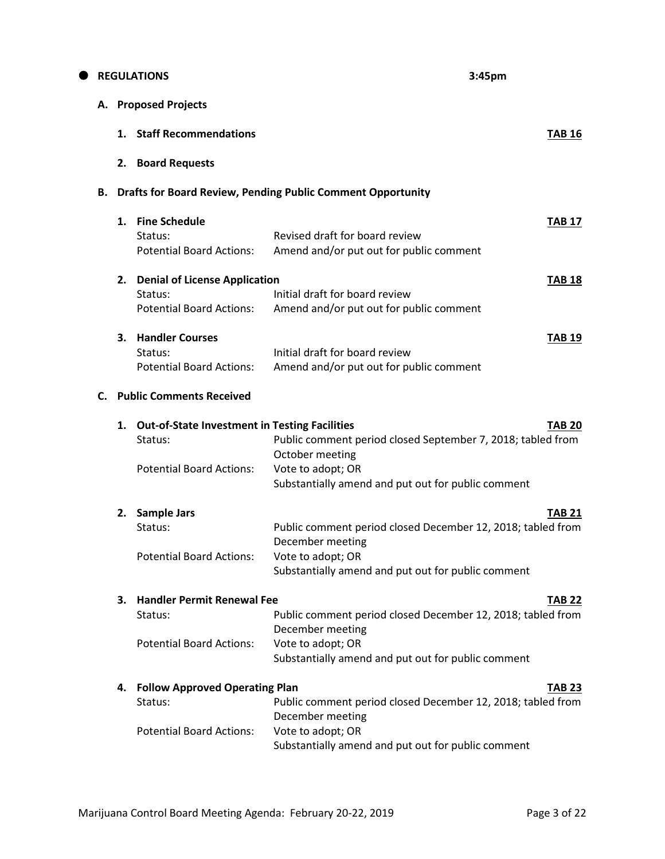|    |    | <b>REGULATIONS</b>                                              | 3:45pm                                                                                          |
|----|----|-----------------------------------------------------------------|-------------------------------------------------------------------------------------------------|
| А. |    | <b>Proposed Projects</b>                                        |                                                                                                 |
|    | 1. | <b>Staff Recommendations</b>                                    | <b>TAB 16</b>                                                                                   |
|    |    | 2. Board Requests                                               |                                                                                                 |
| В. |    |                                                                 | <b>Drafts for Board Review, Pending Public Comment Opportunity</b>                              |
|    | 1. | <b>Fine Schedule</b><br>Status:                                 | <b>TAB 17</b><br>Revised draft for board review                                                 |
|    |    | <b>Potential Board Actions:</b>                                 | Amend and/or put out for public comment                                                         |
|    |    | 2. Denial of License Application<br>Status:                     | <b>TAB 18</b><br>Initial draft for board review                                                 |
|    |    | <b>Potential Board Actions:</b>                                 | Amend and/or put out for public comment                                                         |
|    | 3. | <b>Handler Courses</b><br>Status:                               | <b>TAB 19</b><br>Initial draft for board review                                                 |
|    |    | <b>Potential Board Actions:</b>                                 | Amend and/or put out for public comment                                                         |
| C. |    | <b>Public Comments Received</b>                                 |                                                                                                 |
|    | 1. | <b>Out-of-State Investment in Testing Facilities</b><br>Status: | <b>TAB 20</b><br>Public comment period closed September 7, 2018; tabled from<br>October meeting |
|    |    | <b>Potential Board Actions:</b>                                 | Vote to adopt; OR<br>Substantially amend and put out for public comment                         |
|    |    | 2. Sample Jars                                                  | <b>TAB 21</b>                                                                                   |
|    |    | Status:                                                         | Public comment period closed December 12, 2018; tabled from<br>December meeting                 |
|    |    | <b>Potential Board Actions:</b>                                 | Vote to adopt; OR<br>Substantially amend and put out for public comment                         |
|    | З. | <b>Handler Permit Renewal Fee</b>                               | <b>TAB 22</b>                                                                                   |
|    |    | Status:                                                         | Public comment period closed December 12, 2018; tabled from<br>December meeting                 |
|    |    | <b>Potential Board Actions:</b>                                 | Vote to adopt; OR<br>Substantially amend and put out for public comment                         |
|    | 4. | <b>Follow Approved Operating Plan</b>                           | <b>TAB 23</b>                                                                                   |
|    |    | Status:                                                         | Public comment period closed December 12, 2018; tabled from<br>December meeting                 |
|    |    | <b>Potential Board Actions:</b>                                 | Vote to adopt; OR<br>Substantially amend and put out for public comment                         |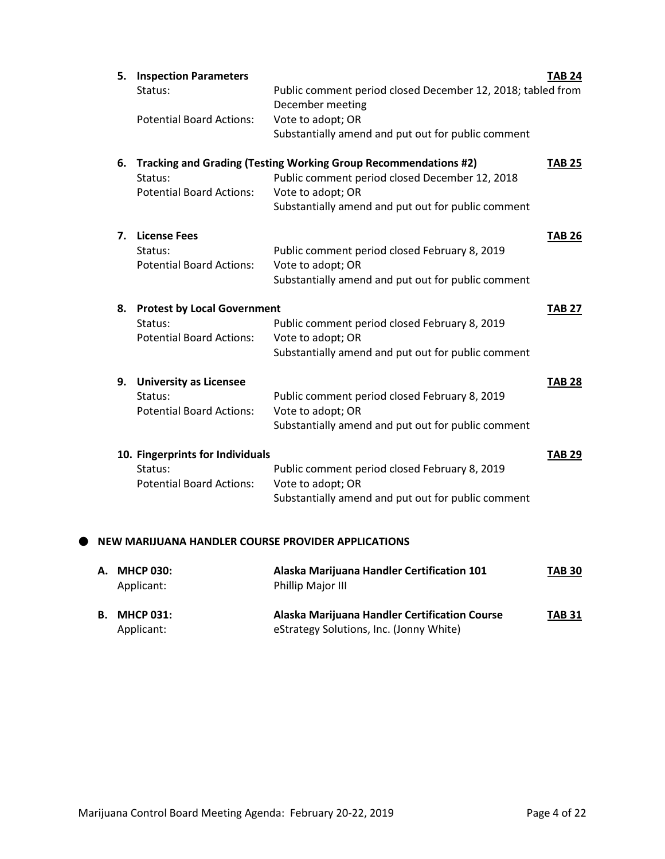| 5. | <b>Inspection Parameters</b><br>Status:                                          | Public comment period closed December 12, 2018; tabled from<br>December meeting                                                                                                              | <b>TAB 24</b> |
|----|----------------------------------------------------------------------------------|----------------------------------------------------------------------------------------------------------------------------------------------------------------------------------------------|---------------|
|    | <b>Potential Board Actions:</b>                                                  | Vote to adopt; OR<br>Substantially amend and put out for public comment                                                                                                                      |               |
| 6. | Status:<br><b>Potential Board Actions:</b>                                       | Tracking and Grading (Testing Working Group Recommendations #2)<br>Public comment period closed December 12, 2018<br>Vote to adopt; OR<br>Substantially amend and put out for public comment | <b>TAB 25</b> |
| 7. | <b>License Fees</b><br>Status:<br><b>Potential Board Actions:</b>                | Public comment period closed February 8, 2019<br>Vote to adopt; OR<br>Substantially amend and put out for public comment                                                                     | <b>TAB 26</b> |
| 8. | <b>Protest by Local Government</b><br>Status:<br><b>Potential Board Actions:</b> | Public comment period closed February 8, 2019<br>Vote to adopt; OR<br>Substantially amend and put out for public comment                                                                     | <b>TAB 27</b> |
| 9. | <b>University as Licensee</b><br>Status:<br><b>Potential Board Actions:</b>      | Public comment period closed February 8, 2019<br>Vote to adopt; OR<br>Substantially amend and put out for public comment                                                                     | <b>TAB 28</b> |
|    | 10. Fingerprints for Individuals<br>Status:<br><b>Potential Board Actions:</b>   | Public comment period closed February 8, 2019<br>Vote to adopt; OR<br>Substantially amend and put out for public comment                                                                     | <b>TAB 29</b> |
|    |                                                                                  | W MARIILIANA HANDI FR COLIRSE PROVIDER APPLICATIONS:                                                                                                                                         |               |

# **NEW MARIJUANA HANDLER COURSE PROVIDER APPLICATIONS**

| A. MHCP 030:<br>Applicant:        | Alaska Marijuana Handler Certification 101<br><b>Phillip Major III</b>                   | <b>TAB 30</b> |
|-----------------------------------|------------------------------------------------------------------------------------------|---------------|
| <b>B. MHCP 031:</b><br>Applicant: | Alaska Marijuana Handler Certification Course<br>eStrategy Solutions, Inc. (Jonny White) | <b>TAB 31</b> |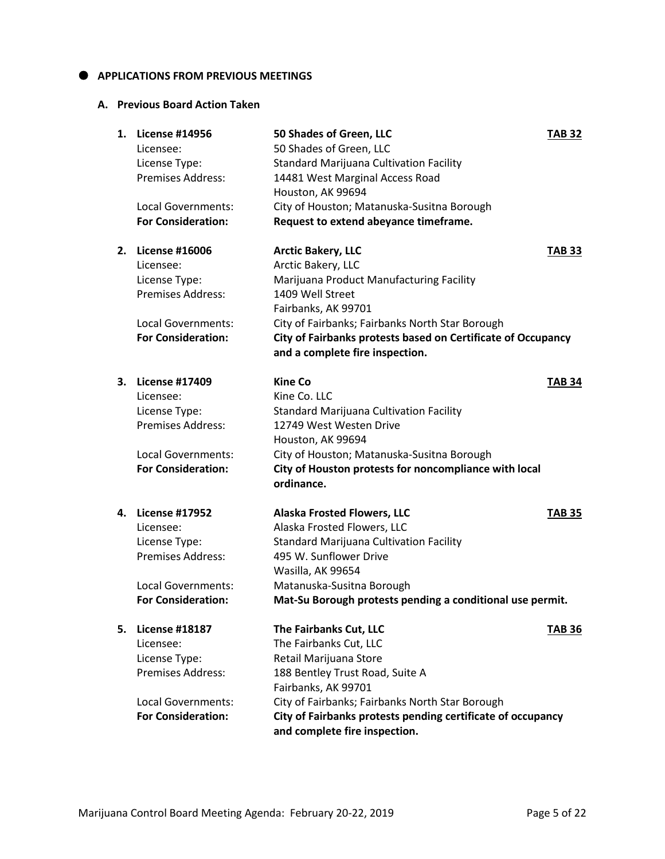### $\bullet$  APPLICATIONS FROM PREVIOUS MEETINGS

### **A. Previous Board Action Taken**

| 1. | <b>License #14956</b>                     | 50 Shades of Green, LLC                                      | <b>TAB 32</b> |
|----|-------------------------------------------|--------------------------------------------------------------|---------------|
|    | Licensee:                                 | 50 Shades of Green, LLC                                      |               |
|    | License Type:<br><b>Premises Address:</b> | <b>Standard Marijuana Cultivation Facility</b>               |               |
|    |                                           | 14481 West Marginal Access Road                              |               |
|    | <b>Local Governments:</b>                 | Houston, AK 99694                                            |               |
|    |                                           | City of Houston; Matanuska-Susitna Borough                   |               |
|    | <b>For Consideration:</b>                 | Request to extend abeyance timeframe.                        |               |
| 2. | <b>License #16006</b>                     | <b>Arctic Bakery, LLC</b>                                    | <b>TAB 33</b> |
|    | Licensee:                                 | Arctic Bakery, LLC                                           |               |
|    | License Type:                             | Marijuana Product Manufacturing Facility                     |               |
|    | <b>Premises Address:</b>                  | 1409 Well Street                                             |               |
|    |                                           | Fairbanks, AK 99701                                          |               |
|    | Local Governments:                        | City of Fairbanks; Fairbanks North Star Borough              |               |
|    | <b>For Consideration:</b>                 | City of Fairbanks protests based on Certificate of Occupancy |               |
|    |                                           | and a complete fire inspection.                              |               |
| 3. | <b>License #17409</b>                     | Kine Co                                                      | <b>TAB 34</b> |
|    | Licensee:                                 | Kine Co. LLC                                                 |               |
|    | License Type:                             | <b>Standard Marijuana Cultivation Facility</b>               |               |
|    | <b>Premises Address:</b>                  | 12749 West Westen Drive                                      |               |
|    |                                           | Houston, AK 99694                                            |               |
|    | Local Governments:                        | City of Houston; Matanuska-Susitna Borough                   |               |
|    | <b>For Consideration:</b>                 | City of Houston protests for noncompliance with local        |               |
|    |                                           | ordinance.                                                   |               |
|    | 4. License #17952                         | <b>Alaska Frosted Flowers, LLC</b>                           | <b>TAB 35</b> |
|    | Licensee:                                 | Alaska Frosted Flowers, LLC                                  |               |
|    | License Type:                             | <b>Standard Marijuana Cultivation Facility</b>               |               |
|    | Premises Address:                         | 495 W. Sunflower Drive                                       |               |
|    |                                           | Wasilla, AK 99654                                            |               |
|    | <b>Local Governments:</b>                 | Matanuska-Susitna Borough                                    |               |
|    | <b>For Consideration:</b>                 | Mat-Su Borough protests pending a conditional use permit.    |               |
| 5. | <b>License #18187</b>                     | The Fairbanks Cut, LLC                                       | TAB 36        |
|    | Licensee:                                 | The Fairbanks Cut, LLC                                       |               |
|    | License Type:                             | Retail Marijuana Store                                       |               |
|    | <b>Premises Address:</b>                  | 188 Bentley Trust Road, Suite A                              |               |
|    |                                           | Fairbanks, AK 99701                                          |               |
|    | <b>Local Governments:</b>                 | City of Fairbanks; Fairbanks North Star Borough              |               |
|    | <b>For Consideration:</b>                 | City of Fairbanks protests pending certificate of occupancy  |               |
|    |                                           | and complete fire inspection.                                |               |
|    |                                           |                                                              |               |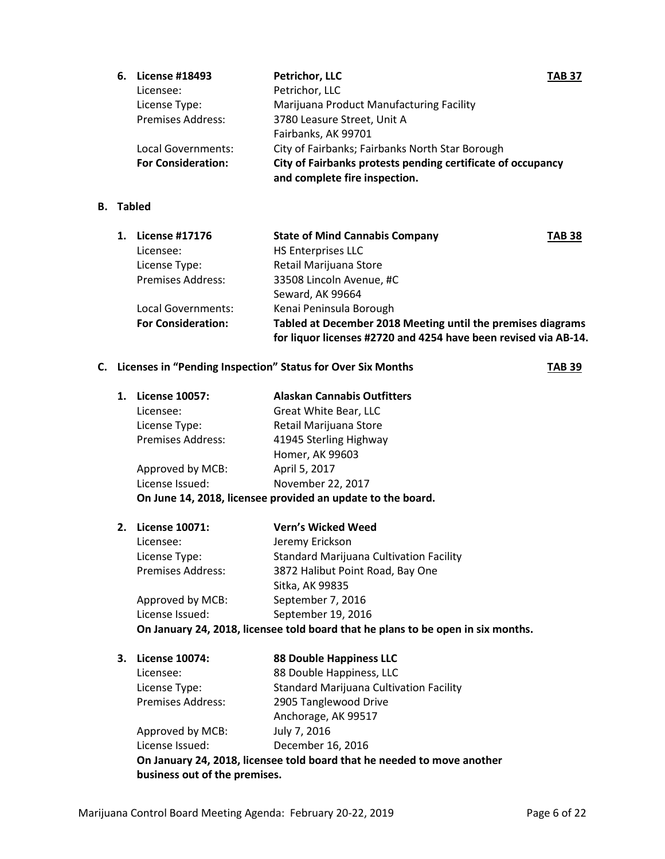| 6. | <b>License #18493</b>     | <b>Petrichor, LLC</b><br><b>TAB 37</b>                      |  |
|----|---------------------------|-------------------------------------------------------------|--|
|    | Licensee:                 | Petrichor, LLC                                              |  |
|    | License Type:             | Marijuana Product Manufacturing Facility                    |  |
|    | <b>Premises Address:</b>  | 3780 Leasure Street, Unit A                                 |  |
|    |                           | Fairbanks, AK 99701                                         |  |
|    | Local Governments:        | City of Fairbanks; Fairbanks North Star Borough             |  |
|    | <b>For Consideration:</b> | City of Fairbanks protests pending certificate of occupancy |  |
|    |                           | and complete fire inspection.                               |  |

# **B. Tabled**

| 1. | License #17176            | <b>State of Mind Cannabis Company</b>                           | <b>TAB 38</b> |
|----|---------------------------|-----------------------------------------------------------------|---------------|
|    | Licensee:                 | <b>HS Enterprises LLC</b>                                       |               |
|    | License Type:             | Retail Marijuana Store                                          |               |
|    | <b>Premises Address:</b>  | 33508 Lincoln Avenue, #C                                        |               |
|    |                           | Seward, AK 99664                                                |               |
|    | Local Governments:        | Kenai Peninsula Borough                                         |               |
|    | <b>For Consideration:</b> | Tabled at December 2018 Meeting until the premises diagrams     |               |
|    |                           | for liquor licenses #2720 and 4254 have been revised via AB-14. |               |

# **C.** Licenses in "Pending Inspection" Status for Over Six Months **TAB 39**

| 1. | License 10057:           | <b>Alaskan Cannabis Outfitters</b>                          |
|----|--------------------------|-------------------------------------------------------------|
|    | Licensee:                | Great White Bear, LLC                                       |
|    | License Type:            | Retail Marijuana Store                                      |
|    | <b>Premises Address:</b> | 41945 Sterling Highway                                      |
|    |                          | Homer, AK 99603                                             |
|    | Approved by MCB:         | April 5, 2017                                               |
|    | License Issued:          | November 22, 2017                                           |
|    |                          | On June 14, 2018, licensee provided an update to the board. |
|    |                          |                                                             |

| 2. License 10071:        | <b>Vern's Wicked Weed</b>                                                        |
|--------------------------|----------------------------------------------------------------------------------|
| Licensee:                | Jeremy Erickson                                                                  |
| License Type:            | <b>Standard Marijuana Cultivation Facility</b>                                   |
| <b>Premises Address:</b> | 3872 Halibut Point Road, Bay One                                                 |
|                          | Sitka, AK 99835                                                                  |
| Approved by MCB:         | September 7, 2016                                                                |
| License Issued:          | September 19, 2016                                                               |
|                          | On January 24, 2018, licensee told board that he plans to be open in six months. |

| 3. | <b>License 10074:</b>         | <b>88 Double Happiness LLC</b>                                          |
|----|-------------------------------|-------------------------------------------------------------------------|
|    | Licensee:                     | 88 Double Happiness, LLC                                                |
|    | License Type:                 | <b>Standard Marijuana Cultivation Facility</b>                          |
|    | <b>Premises Address:</b>      | 2905 Tanglewood Drive                                                   |
|    |                               | Anchorage, AK 99517                                                     |
|    | Approved by MCB:              | July 7, 2016                                                            |
|    | License Issued:               | December 16, 2016                                                       |
|    |                               | On January 24, 2018, licensee told board that he needed to move another |
|    | business out of the premises. |                                                                         |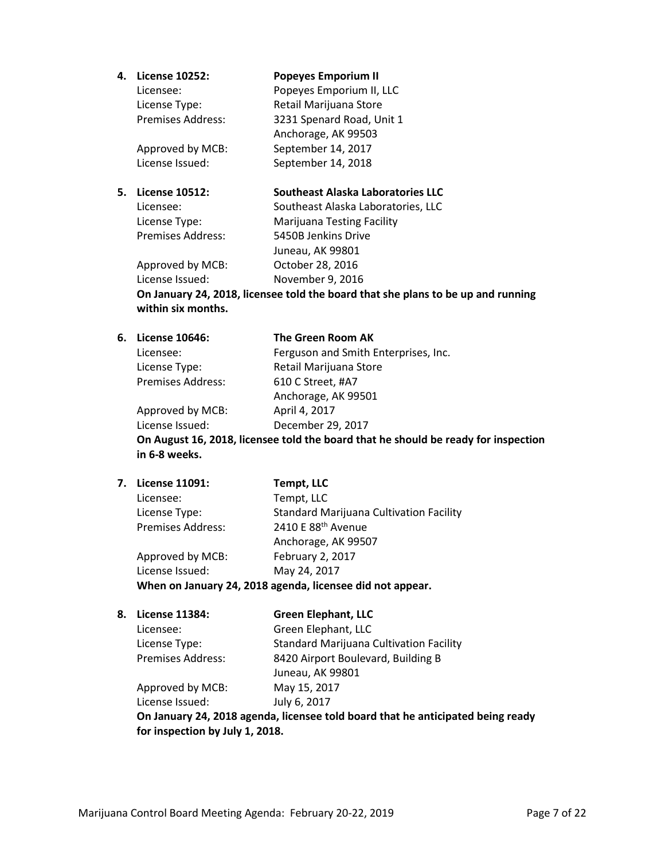### **4. License 10252: Popeyes Emporium II**

| Licensee:         | Popeyes Emporium II, LLC  |
|-------------------|---------------------------|
| License Type:     | Retail Marijuana Store    |
| Premises Address: | 3231 Spenard Road, Unit 1 |
|                   | Anchorage, AK 99503       |
| Approved by MCB:  | September 14, 2017        |
| License Issued:   | September 14, 2018        |

## **5. License 10512: Southeast Alaska Laboratories LLC**

Licensee: Southeast Alaska Laboratories, LLC License Type: Marijuana Testing Facility Premises Address: 5450B Jenkins Drive Juneau, AK 99801 Approved by MCB: October 28, 2016 License Issued: November 9, 2016

**On January 24, 2018, licensee told the board that she plans to be up and running within six months.**

| 6. License 10646:        | The Green Room AK                                                                  |
|--------------------------|------------------------------------------------------------------------------------|
| Licensee:                | Ferguson and Smith Enterprises, Inc.                                               |
| License Type:            | Retail Marijuana Store                                                             |
| <b>Premises Address:</b> | 610 C Street, #A7                                                                  |
|                          | Anchorage, AK 99501                                                                |
| Approved by MCB:         | April 4, 2017                                                                      |
| License Issued:          | December 29, 2017                                                                  |
|                          | On August 16, 2018, licensee told the board that he should be ready for inspection |

**in 6-8 weeks.**

# **7. License 11091: Tempt, LLC** Licensee: Tempt, LLC License Type: Standard Marijuana Cultivation Facility Premises Address: 2410 E 88<sup>th</sup> Avenue Anchorage, AK 99507 Approved by MCB: February 2, 2017 License Issued: May 24, 2017 **When on January 24, 2018 agenda, licensee did not appear.**

| 8. | <b>License 11384:</b>    | <b>Green Elephant, LLC</b>                     |
|----|--------------------------|------------------------------------------------|
|    | Licensee:                | Green Elephant, LLC                            |
|    | License Type:            | <b>Standard Marijuana Cultivation Facility</b> |
|    | <b>Premises Address:</b> | 8420 Airport Boulevard, Building B             |
|    |                          | Juneau, AK 99801                               |
|    | Approved by MCB:         | May 15, 2017                                   |
|    | License Issued:          | July 6, 2017                                   |

**On January 24, 2018 agenda, licensee told board that he anticipated being ready for inspection by July 1, 2018.**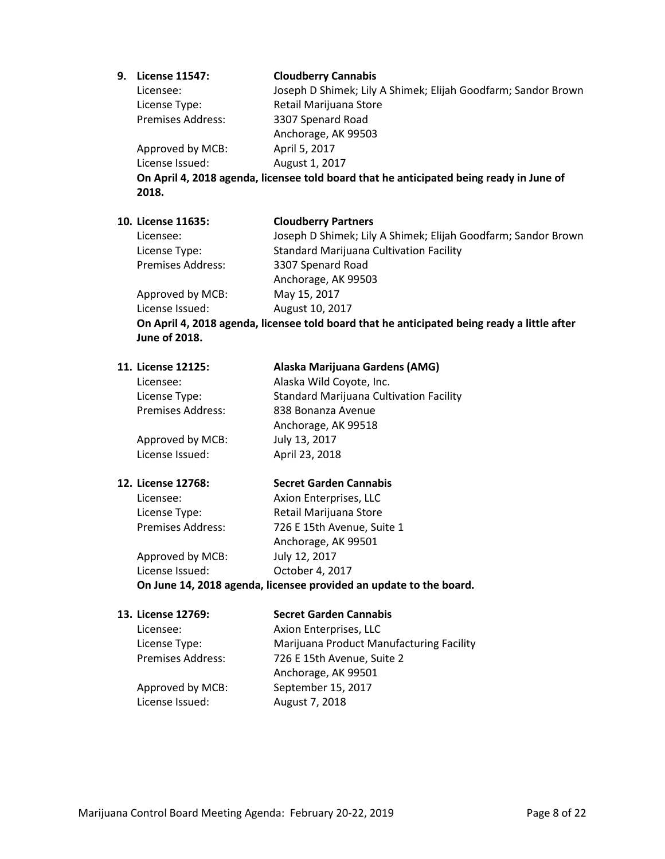### **9. License 11547: Cloudberry Cannabis**

Licensee: Joseph D Shimek; Lily A Shimek; Elijah Goodfarm; Sandor Brown

License Type: Retail Marijuana Store Premises Address: 3307 Spenard Road Anchorage, AK 99503 Approved by MCB: April 5, 2017 License Issued: August 1, 2017

**On April 4, 2018 agenda, licensee told board that he anticipated being ready in June of 2018.**

### **10. License 11635: Cloudberry Partners**

Licensee: Joseph D Shimek; Lily A Shimek; Elijah Goodfarm; Sandor Brown License Type: Standard Marijuana Cultivation Facility Premises Address: 3307 Spenard Road Anchorage, AK 99503 Approved by MCB: May 15, 2017 License Issued: August 10, 2017

**On April 4, 2018 agenda, licensee told board that he anticipated being ready a little after June of 2018.**

| 11. License 12125:       | Alaska Marijuana Gardens (AMG)                 |
|--------------------------|------------------------------------------------|
| Licensee:                | Alaska Wild Coyote, Inc.                       |
| License Type:            | <b>Standard Marijuana Cultivation Facility</b> |
| <b>Premises Address:</b> | 838 Bonanza Avenue                             |
|                          | Anchorage, AK 99518                            |
| Approved by MCB:         | July 13, 2017                                  |
| License Issued:          | April 23, 2018                                 |
|                          |                                                |
|                          |                                                |

### **12. License 12768: Secret Garden Cannabis**

Licensee: Axion Enterprises, LLC License Type: Retail Marijuana Store Premises Address: 726 E 15th Avenue, Suite 1 Anchorage, AK 99501 Approved by MCB: July 12, 2017 License Issued: October 4, 2017

**On June 14, 2018 agenda, licensee provided an update to the board.**

### **13. License 12769: Secret Garden Cannabis**

Licensee: Axion Enterprises, LLC License Type: Marijuana Product Manufacturing Facility Premises Address: 726 E 15th Avenue, Suite 2 Anchorage, AK 99501 Approved by MCB: September 15, 2017

License Issued: August 7, 2018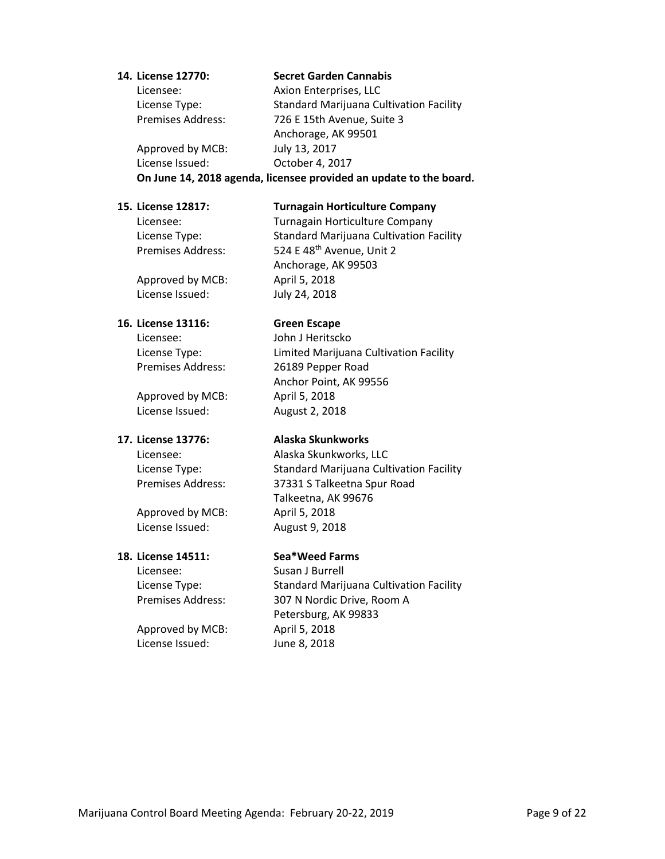### **14. License 12770: Secret Garden Cannabis**

Licensee: Axion Enterprises, LLC License Type: Standard Marijuana Cultivation Facility Premises Address: 726 E 15th Avenue, Suite 3 Anchorage, AK 99501 Approved by MCB: July 13, 2017 License Issued: October 4, 2017

**On June 14, 2018 agenda, licensee provided an update to the board.**

### **15. License 12817: Turnagain Horticulture Company**

Licensee: Turnagain Horticulture Company License Type: Standard Marijuana Cultivation Facility Premises Address: 524 E 48<sup>th</sup> Avenue, Unit 2

Approved by MCB: April 5, 2018 License Issued: July 24, 2018

### **16. License 13116: Green Escape**

Licensee: John J Heritscko

Approved by MCB: April 5, 2018 License Issued: August 2, 2018

Approved by MCB: April 5, 2018 License Issued: August 9, 2018

### **18. License 14511: Sea\*Weed Farms**

Licensee: Susan J Burrell

Approved by MCB: April 5, 2018 License Issued: June 8, 2018

Anchorage, AK 99503

License Type: Limited Marijuana Cultivation Facility Premises Address: 26189 Pepper Road Anchor Point, AK 99556

### **17. License 13776: Alaska Skunkworks**

Licensee: Alaska Skunkworks, LLC License Type: Standard Marijuana Cultivation Facility Premises Address: 37331 S Talkeetna Spur Road Talkeetna, AK 99676

License Type: Standard Marijuana Cultivation Facility Premises Address: 307 N Nordic Drive, Room A Petersburg, AK 99833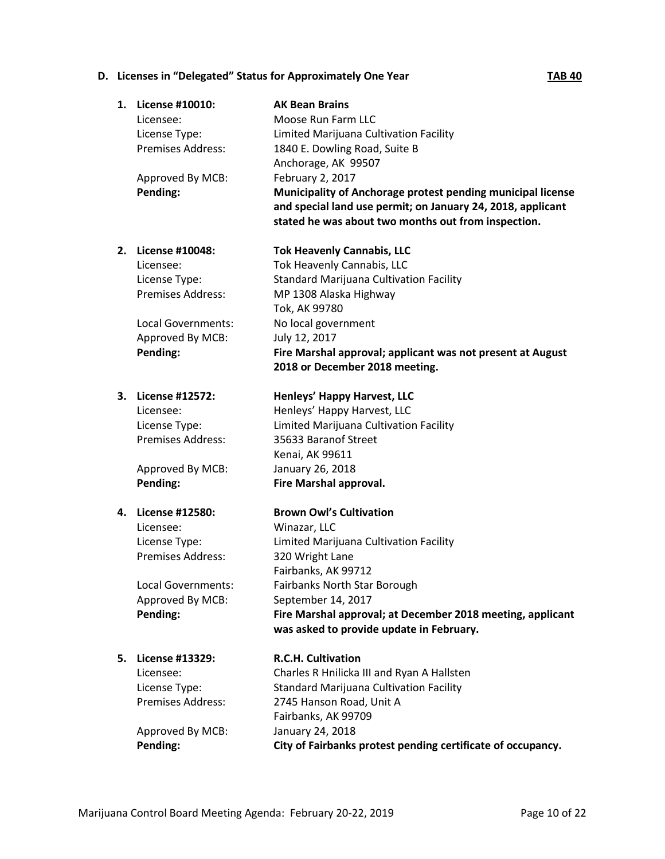# **D.** Licenses in "Delegated" Status for Approximately One Year **TAB 40**

| 1.   | License #10010:<br>Licensee:<br>License Type:<br>Premises Address:<br>Approved By MCB:<br>Pending:                              | <b>AK Bean Brains</b><br>Moose Run Farm LLC<br>Limited Marijuana Cultivation Facility<br>1840 E. Dowling Road, Suite B<br>Anchorage, AK 99507<br>February 2, 2017<br>Municipality of Anchorage protest pending municipal license<br>and special land use permit; on January 24, 2018, applicant<br>stated he was about two months out from inspection. |
|------|---------------------------------------------------------------------------------------------------------------------------------|--------------------------------------------------------------------------------------------------------------------------------------------------------------------------------------------------------------------------------------------------------------------------------------------------------------------------------------------------------|
| 2. . | License #10048:<br>Licensee:<br>License Type:<br><b>Premises Address:</b><br>Local Governments:<br>Approved By MCB:<br>Pending: | <b>Tok Heavenly Cannabis, LLC</b><br>Tok Heavenly Cannabis, LLC<br><b>Standard Marijuana Cultivation Facility</b><br>MP 1308 Alaska Highway<br>Tok, AK 99780<br>No local government<br>July 12, 2017<br>Fire Marshal approval; applicant was not present at August<br>2018 or December 2018 meeting.                                                   |
| 3.   | License #12572:<br>Licensee:<br>License Type:<br>Premises Address:<br>Approved By MCB:<br>Pending:                              | Henleys' Happy Harvest, LLC<br>Henleys' Happy Harvest, LLC<br>Limited Marijuana Cultivation Facility<br>35633 Baranof Street<br>Kenai, AK 99611<br>January 26, 2018<br>Fire Marshal approval.                                                                                                                                                          |
| 4.   | License #12580:<br>Licensee:<br>License Type:<br>Premises Address:<br><b>Local Governments:</b><br>Approved By MCB:<br>Pending: | <b>Brown Owl's Cultivation</b><br>Winazar, LLC<br>Limited Marijuana Cultivation Facility<br>320 Wright Lane<br>Fairbanks, AK 99712<br>Fairbanks North Star Borough<br>September 14, 2017<br>Fire Marshal approval; at December 2018 meeting, applicant<br>was asked to provide update in February.                                                     |
| 5.   | License #13329:<br>Licensee:<br>License Type:<br><b>Premises Address:</b><br>Approved By MCB:<br>Pending:                       | <b>R.C.H. Cultivation</b><br>Charles R Hnilicka III and Ryan A Hallsten<br><b>Standard Marijuana Cultivation Facility</b><br>2745 Hanson Road, Unit A<br>Fairbanks, AK 99709<br>January 24, 2018<br>City of Fairbanks protest pending certificate of occupancy.                                                                                        |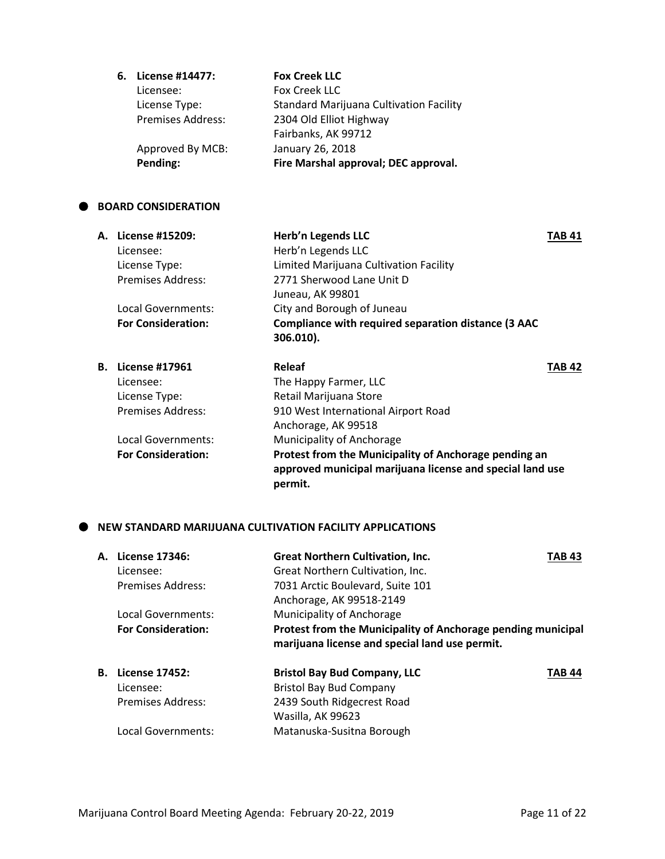| 6. | License #14477:          | <b>Fox Creek LLC</b>                           |
|----|--------------------------|------------------------------------------------|
|    | Licensee:                | Fox Creek LLC                                  |
|    | License Type:            | <b>Standard Marijuana Cultivation Facility</b> |
|    | <b>Premises Address:</b> | 2304 Old Elliot Highway                        |
|    |                          | Fairbanks, AK 99712                            |
|    | Approved By MCB:         | January 26, 2018                               |
|    | Pending:                 | Fire Marshal approval; DEC approval.           |

### **BOARD CONSIDERATION**

| А. | License #15209:<br>Licensee:<br>License Type:<br><b>Premises Address:</b>       | Herb'n Legends LLC<br>Herb'n Legends LLC<br>Limited Marijuana Cultivation Facility<br>2771 Sherwood Lane Unit D<br>Juneau, AK 99801 | TAB 41 |
|----|---------------------------------------------------------------------------------|-------------------------------------------------------------------------------------------------------------------------------------|--------|
|    | Local Governments:<br><b>For Consideration:</b>                                 | City and Borough of Juneau<br>Compliance with required separation distance (3 AAC<br>306.010).                                      |        |
| В. | <b>License #17961</b><br>Licensee:<br>License Type:<br><b>Premises Address:</b> | Releaf<br>The Happy Farmer, LLC<br>Retail Marijuana Store<br>910 West International Airport Road<br>Anchorage, AK 99518             | TAB 42 |
|    | Local Governments:                                                              | Municipality of Anchorage                                                                                                           |        |

**For Consideration: Protest from the Municipality of Anchorage pending an approved municipal marijuana license and special land use permit.**

# **NEW STANDARD MARIJUANA CULTIVATION FACILITY APPLICATIONS**

|    | A. License 17346:<br>Licensee:<br>Premises Address:<br>Local Governments:            | <b>Great Northern Cultivation, Inc.</b><br>Great Northern Cultivation, Inc.<br>7031 Arctic Boulevard, Suite 101<br>Anchorage, AK 99518-2149<br>Municipality of Anchorage | <b>TAB 43</b> |
|----|--------------------------------------------------------------------------------------|--------------------------------------------------------------------------------------------------------------------------------------------------------------------------|---------------|
|    | <b>For Consideration:</b>                                                            | Protest from the Municipality of Anchorage pending municipal<br>marijuana license and special land use permit.                                                           |               |
| В. | <b>License 17452:</b><br>Licensee:<br><b>Premises Address:</b><br>Local Governments: | <b>Bristol Bay Bud Company, LLC</b><br><b>Bristol Bay Bud Company</b><br>2439 South Ridgecrest Road<br>Wasilla, AK 99623<br>Matanuska-Susitna Borough                    | TAB 44        |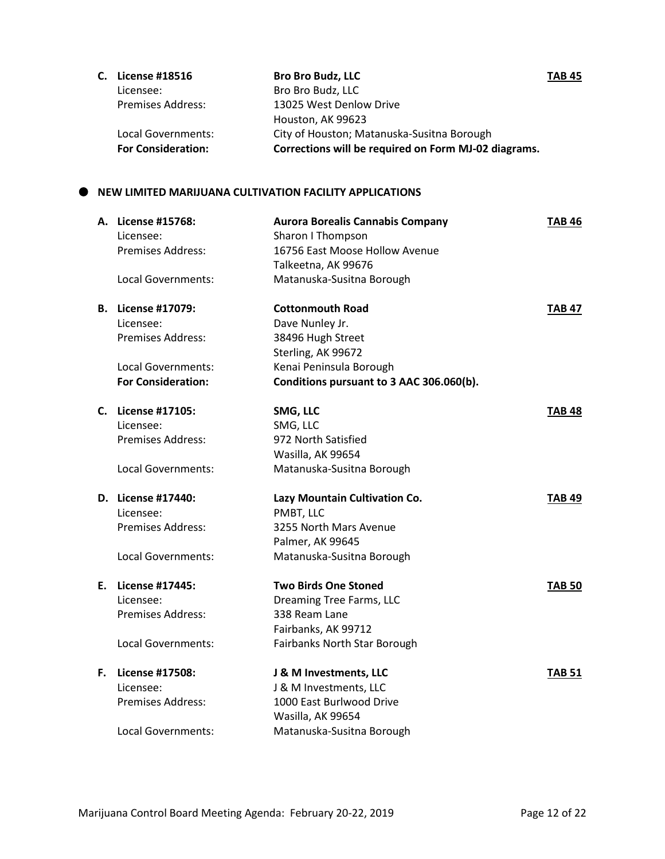| C. License #18516         | <b>Bro Bro Budz, LLC</b>                             | <b>TAB 45</b> |
|---------------------------|------------------------------------------------------|---------------|
| Licensee:                 | Bro Bro Budz, LLC                                    |               |
| <b>Premises Address:</b>  | 13025 West Denlow Drive                              |               |
|                           | Houston, AK 99623                                    |               |
| Local Governments:        | City of Houston; Matanuska-Susitna Borough           |               |
| <b>For Consideration:</b> | Corrections will be required on Form MJ-02 diagrams. |               |

# **NEW LIMITED MARIJUANA CULTIVATION FACILITY APPLICATIONS**

|    | A. License #15768:<br>Licensee: | <b>Aurora Borealis Cannabis Company</b><br>Sharon I Thompson | <b>TAB 46</b> |
|----|---------------------------------|--------------------------------------------------------------|---------------|
|    | Premises Address:               | 16756 East Moose Hollow Avenue<br>Talkeetna, AK 99676        |               |
|    | Local Governments:              | Matanuska-Susitna Borough                                    |               |
| В. | <b>License #17079:</b>          | <b>Cottonmouth Road</b>                                      | <b>TAB 47</b> |
|    | Licensee:                       | Dave Nunley Jr.                                              |               |
|    | <b>Premises Address:</b>        | 38496 Hugh Street                                            |               |
|    |                                 | Sterling, AK 99672                                           |               |
|    | Local Governments:              | Kenai Peninsula Borough                                      |               |
|    | <b>For Consideration:</b>       | Conditions pursuant to 3 AAC 306.060(b).                     |               |
| C. | License #17105:                 | SMG, LLC                                                     | <b>TAB 48</b> |
|    | Licensee:                       | SMG, LLC                                                     |               |
|    | <b>Premises Address:</b>        | 972 North Satisfied                                          |               |
|    |                                 | Wasilla, AK 99654                                            |               |
|    | <b>Local Governments:</b>       | Matanuska-Susitna Borough                                    |               |
|    | D. License #17440:              | Lazy Mountain Cultivation Co.                                | <b>TAB 49</b> |
|    | Licensee:                       | PMBT, LLC                                                    |               |
|    | <b>Premises Address:</b>        | 3255 North Mars Avenue                                       |               |
|    |                                 | Palmer, AK 99645                                             |               |
|    | Local Governments:              | Matanuska-Susitna Borough                                    |               |
| Е. | License #17445:                 | <b>Two Birds One Stoned</b>                                  | <b>TAB 50</b> |
|    | Licensee:                       | <b>Dreaming Tree Farms, LLC</b>                              |               |
|    | Premises Address:               | 338 Ream Lane                                                |               |
|    |                                 | Fairbanks, AK 99712                                          |               |
|    | <b>Local Governments:</b>       | Fairbanks North Star Borough                                 |               |
| F. | License #17508:                 | J & M Investments, LLC                                       | <b>TAB 51</b> |
|    | Licensee:                       | J & M Investments, LLC                                       |               |
|    | <b>Premises Address:</b>        | 1000 East Burlwood Drive                                     |               |
|    |                                 | Wasilla, AK 99654                                            |               |
|    | Local Governments:              | Matanuska-Susitna Borough                                    |               |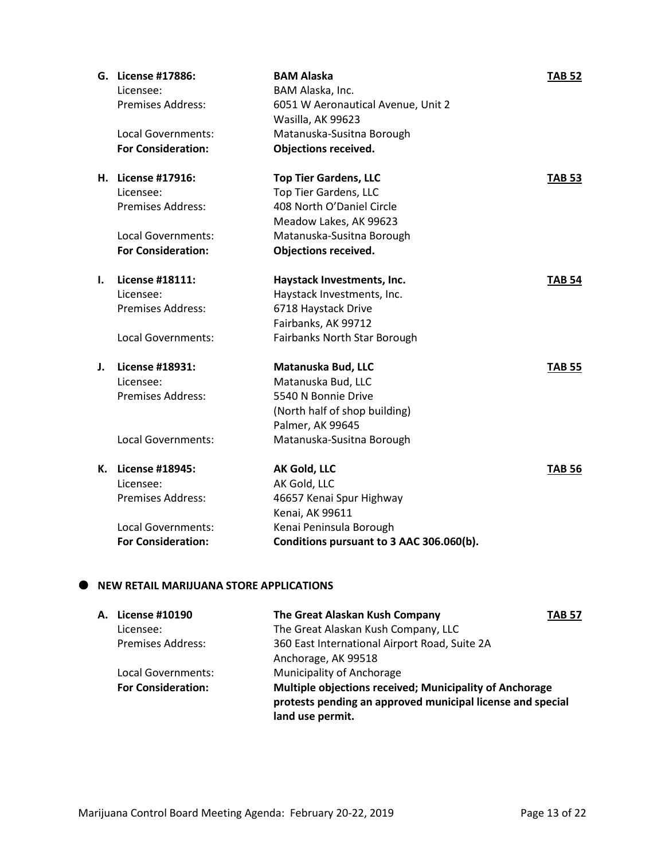|    | G. License #17886:<br>Licensee: | <b>BAM Alaska</b><br>BAM Alaska, Inc.                   | <b>TAB 52</b> |
|----|---------------------------------|---------------------------------------------------------|---------------|
|    | Premises Address:               | 6051 W Aeronautical Avenue, Unit 2<br>Wasilla, AK 99623 |               |
|    | Local Governments:              | Matanuska-Susitna Borough                               |               |
|    | <b>For Consideration:</b>       | <b>Objections received.</b>                             |               |
|    | H. License #17916:              | <b>Top Tier Gardens, LLC</b>                            | <b>TAB 53</b> |
|    | Licensee:                       | <b>Top Tier Gardens, LLC</b>                            |               |
|    | Premises Address:               | 408 North O'Daniel Circle                               |               |
|    |                                 | Meadow Lakes, AK 99623                                  |               |
|    | Local Governments:              | Matanuska-Susitna Borough                               |               |
|    | <b>For Consideration:</b>       | <b>Objections received.</b>                             |               |
| ı. | License #18111:                 | Haystack Investments, Inc.                              | <b>TAB 54</b> |
|    | Licensee:                       | Haystack Investments, Inc.                              |               |
|    | <b>Premises Address:</b>        | 6718 Haystack Drive                                     |               |
|    |                                 | Fairbanks, AK 99712                                     |               |
|    | <b>Local Governments:</b>       | Fairbanks North Star Borough                            |               |
| J. | <b>License #18931:</b>          | Matanuska Bud, LLC                                      | <b>TAB 55</b> |
|    | Licensee:                       | Matanuska Bud, LLC                                      |               |
|    | <b>Premises Address:</b>        | 5540 N Bonnie Drive                                     |               |
|    |                                 | (North half of shop building)                           |               |
|    |                                 | Palmer, AK 99645                                        |               |
|    | <b>Local Governments:</b>       | Matanuska-Susitna Borough                               |               |
|    | K. License #18945:              | AK Gold, LLC                                            | <b>TAB 56</b> |
|    | Licensee:                       | AK Gold, LLC                                            |               |
|    | <b>Premises Address:</b>        | 46657 Kenai Spur Highway                                |               |
|    |                                 | Kenai, AK 99611                                         |               |
|    | Local Governments:              | Kenai Peninsula Borough                                 |               |
|    | <b>For Consideration:</b>       | Conditions pursuant to 3 AAC 306.060(b).                |               |

# **NEW RETAIL MARIJUANA STORE APPLICATIONS**

| License #10190            | The Great Alaskan Kush Company                                                                                                            | <b>TAB 57</b> |
|---------------------------|-------------------------------------------------------------------------------------------------------------------------------------------|---------------|
| Licensee:                 | The Great Alaskan Kush Company, LLC                                                                                                       |               |
| <b>Premises Address:</b>  | 360 East International Airport Road, Suite 2A                                                                                             |               |
|                           | Anchorage, AK 99518                                                                                                                       |               |
| Local Governments:        | Municipality of Anchorage                                                                                                                 |               |
| <b>For Consideration:</b> | Multiple objections received; Municipality of Anchorage<br>protests pending an approved municipal license and special<br>land use permit. |               |
|                           | А.                                                                                                                                        |               |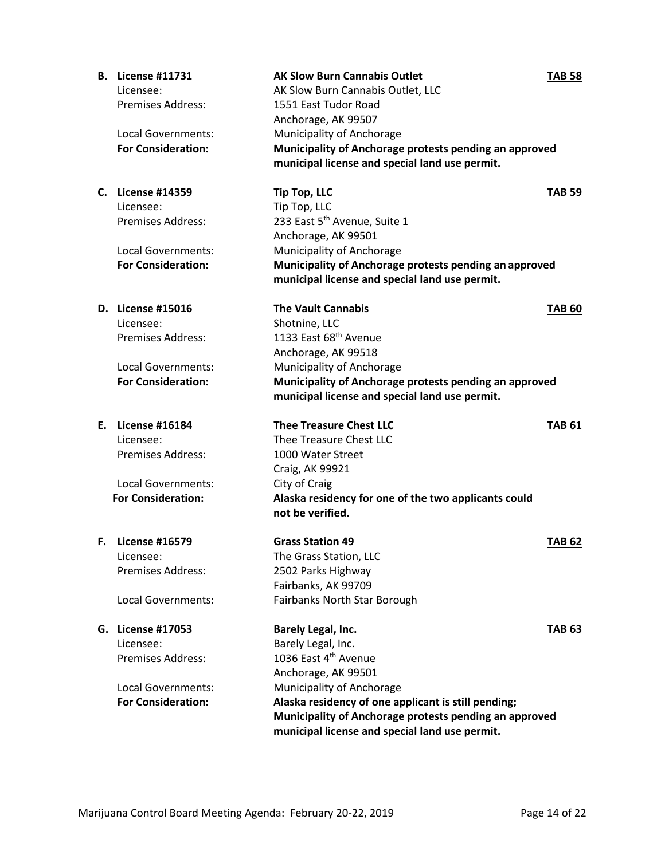|    | <b>B.</b> License #11731<br>Licensee:<br><b>Premises Address:</b><br>Local Governments:<br><b>For Consideration:</b> | <b>AK Slow Burn Cannabis Outlet</b><br>AK Slow Burn Cannabis Outlet, LLC<br>1551 East Tudor Road<br>Anchorage, AK 99507<br>Municipality of Anchorage<br>Municipality of Anchorage protests pending an approved<br>municipal license and special land use permit.                        | <b>TAB 58</b> |
|----|----------------------------------------------------------------------------------------------------------------------|-----------------------------------------------------------------------------------------------------------------------------------------------------------------------------------------------------------------------------------------------------------------------------------------|---------------|
| C. | <b>License #14359</b><br>Licensee:<br><b>Premises Address:</b><br>Local Governments:<br><b>For Consideration:</b>    | <b>Tip Top, LLC</b><br>Tip Top, LLC<br>233 East 5 <sup>th</sup> Avenue, Suite 1<br>Anchorage, AK 99501<br>Municipality of Anchorage<br>Municipality of Anchorage protests pending an approved<br>municipal license and special land use permit.                                         | <b>TAB 59</b> |
|    | D. License #15016<br>Licensee:<br><b>Premises Address:</b><br><b>Local Governments:</b><br><b>For Consideration:</b> | <b>The Vault Cannabis</b><br>Shotnine, LLC<br>1133 East 68th Avenue<br>Anchorage, AK 99518<br>Municipality of Anchorage<br>Municipality of Anchorage protests pending an approved<br>municipal license and special land use permit.                                                     | <b>TAB 60</b> |
| Е. | <b>License #16184</b><br>Licensee:<br><b>Premises Address:</b><br>Local Governments:<br><b>For Consideration:</b>    | <b>Thee Treasure Chest LLC</b><br>Thee Treasure Chest LLC<br>1000 Water Street<br>Craig, AK 99921<br>City of Craig<br>Alaska residency for one of the two applicants could<br>not be verified.                                                                                          | <b>TAB 61</b> |
|    | <b>F.</b> License #16579<br>Licensee:<br>Premises Address:<br>Local Governments:                                     | <b>Grass Station 49</b><br>The Grass Station, LLC<br>2502 Parks Highway<br>Fairbanks, AK 99709<br>Fairbanks North Star Borough                                                                                                                                                          | <b>TAB 62</b> |
|    | G. License #17053<br>Licensee:<br><b>Premises Address:</b><br>Local Governments:<br><b>For Consideration:</b>        | Barely Legal, Inc.<br>Barely Legal, Inc.<br>1036 East 4th Avenue<br>Anchorage, AK 99501<br>Municipality of Anchorage<br>Alaska residency of one applicant is still pending;<br>Municipality of Anchorage protests pending an approved<br>municipal license and special land use permit. | <b>TAB 63</b> |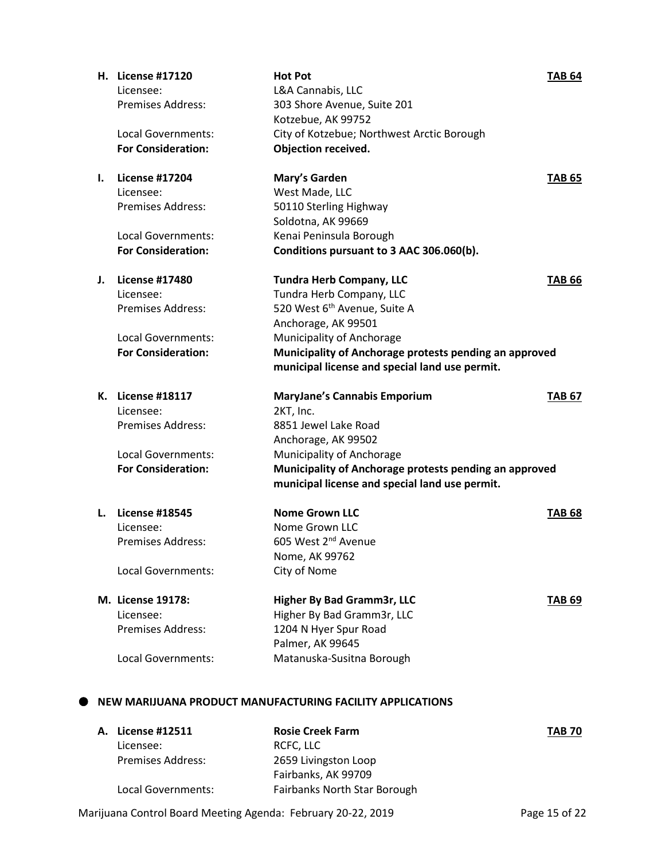|    | H. License #17120         | <b>Hot Pot</b>                                         | <b>TAB 64</b> |
|----|---------------------------|--------------------------------------------------------|---------------|
|    | Licensee:                 | L&A Cannabis, LLC                                      |               |
|    | <b>Premises Address:</b>  | 303 Shore Avenue, Suite 201                            |               |
|    |                           | Kotzebue, AK 99752                                     |               |
|    | <b>Local Governments:</b> | City of Kotzebue; Northwest Arctic Borough             |               |
|    | <b>For Consideration:</b> | Objection received.                                    |               |
| L. | <b>License #17204</b>     | Mary's Garden                                          | <b>TAB 65</b> |
|    | Licensee:                 | West Made, LLC                                         |               |
|    | <b>Premises Address:</b>  | 50110 Sterling Highway                                 |               |
|    |                           | Soldotna, AK 99669                                     |               |
|    | Local Governments:        | Kenai Peninsula Borough                                |               |
|    | <b>For Consideration:</b> | Conditions pursuant to 3 AAC 306.060(b).               |               |
| J. | <b>License #17480</b>     | <b>Tundra Herb Company, LLC</b>                        | <b>TAB 66</b> |
|    | Licensee:                 | Tundra Herb Company, LLC                               |               |
|    | <b>Premises Address:</b>  | 520 West 6 <sup>th</sup> Avenue, Suite A               |               |
|    |                           | Anchorage, AK 99501                                    |               |
|    | Local Governments:        | Municipality of Anchorage                              |               |
|    | <b>For Consideration:</b> | Municipality of Anchorage protests pending an approved |               |
|    |                           | municipal license and special land use permit.         |               |
|    | K. License #18117         | <b>MaryJane's Cannabis Emporium</b>                    | <b>TAB 67</b> |
|    | Licensee:                 | 2KT, Inc.                                              |               |
|    | <b>Premises Address:</b>  | 8851 Jewel Lake Road                                   |               |
|    |                           | Anchorage, AK 99502                                    |               |
|    | Local Governments:        | Municipality of Anchorage                              |               |
|    | <b>For Consideration:</b> | Municipality of Anchorage protests pending an approved |               |
|    |                           | municipal license and special land use permit.         |               |
| L. | <b>License #18545</b>     | <b>Nome Grown LLC</b>                                  | <b>TAB 68</b> |
|    | Licensee:                 | Nome Grown LLC                                         |               |
|    | <b>Premises Address:</b>  | 605 West 2 <sup>nd</sup> Avenue                        |               |
|    |                           | Nome, AK 99762                                         |               |
|    | Local Governments:        | City of Nome                                           |               |
|    | M. License 19178:         | Higher By Bad Gramm3r, LLC                             | <b>TAB 69</b> |
|    | Licensee:                 | Higher By Bad Gramm3r, LLC                             |               |
|    | <b>Premises Address:</b>  | 1204 N Hyer Spur Road                                  |               |
|    |                           | Palmer, AK 99645                                       |               |
|    |                           |                                                        |               |

Marijuana Control Board Meeting Agenda: February 20-22, 2019 Page 15 of 22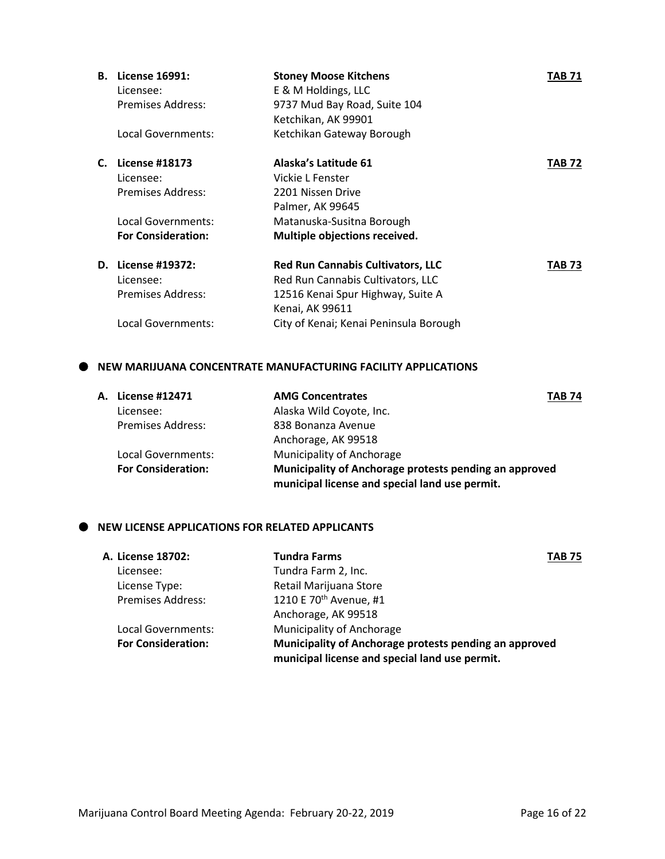| В. | License 16991:<br>Licensee: | <b>Stoney Moose Kitchens</b><br>E & M Holdings, LLC | <b>TAB 71</b> |
|----|-----------------------------|-----------------------------------------------------|---------------|
|    | Premises Address:           | 9737 Mud Bay Road, Suite 104                        |               |
|    |                             | Ketchikan, AK 99901                                 |               |
|    | Local Governments:          | Ketchikan Gateway Borough                           |               |
| C. | <b>License #18173</b>       | Alaska's Latitude 61                                | <b>TAB 72</b> |
|    | Licensee:                   | Vickie L Fenster                                    |               |
|    | <b>Premises Address:</b>    | 2201 Nissen Drive                                   |               |
|    |                             | Palmer, AK 99645                                    |               |
|    | Local Governments:          | Matanuska-Susitna Borough                           |               |
|    | <b>For Consideration:</b>   | Multiple objections received.                       |               |
| D. | License #19372:             | <b>Red Run Cannabis Cultivators, LLC</b>            | TAB 73        |
|    | Licensee:                   | Red Run Cannabis Cultivators, LLC                   |               |
|    | <b>Premises Address:</b>    | 12516 Kenai Spur Highway, Suite A                   |               |
|    |                             | Kenai, AK 99611                                     |               |
|    | Local Governments:          | City of Kenai; Kenai Peninsula Borough              |               |

### **NEW MARIJUANA CONCENTRATE MANUFACTURING FACILITY APPLICATIONS**

| A. License #12471         | <b>AMG Concentrates</b><br><b>TAB 74</b>                                                                 |  |
|---------------------------|----------------------------------------------------------------------------------------------------------|--|
| Licensee:                 | Alaska Wild Coyote, Inc.                                                                                 |  |
| <b>Premises Address:</b>  | 838 Bonanza Avenue                                                                                       |  |
|                           | Anchorage, AK 99518                                                                                      |  |
| Local Governments:        | Municipality of Anchorage                                                                                |  |
| <b>For Consideration:</b> | Municipality of Anchorage protests pending an approved<br>municipal license and special land use permit. |  |

# $\bullet$  NEW LICENSE APPLICATIONS FOR RELATED APPLICANTS

| <b>Tundra Farms</b>                                                                                      | <b>TAB 75</b> |
|----------------------------------------------------------------------------------------------------------|---------------|
| Tundra Farm 2, Inc.                                                                                      |               |
| Retail Marijuana Store                                                                                   |               |
| 1210 E 70 <sup>th</sup> Avenue, #1                                                                       |               |
| Anchorage, AK 99518                                                                                      |               |
| Municipality of Anchorage                                                                                |               |
| Municipality of Anchorage protests pending an approved<br>municipal license and special land use permit. |               |
|                                                                                                          |               |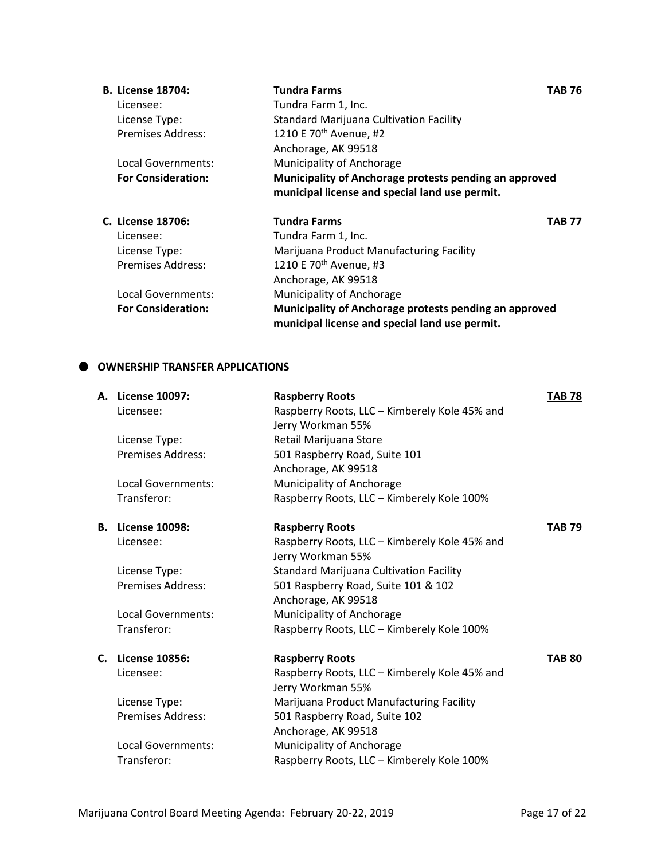| <b>B. License 18704:</b>  | <b>Tundra Farms</b>                                    | TAB 76 |
|---------------------------|--------------------------------------------------------|--------|
| Licensee:                 | Tundra Farm 1, Inc.                                    |        |
| License Type:             | <b>Standard Marijuana Cultivation Facility</b>         |        |
| <b>Premises Address:</b>  | 1210 E 70 <sup>th</sup> Avenue, #2                     |        |
|                           | Anchorage, AK 99518                                    |        |
| Local Governments:        | Municipality of Anchorage                              |        |
| <b>For Consideration:</b> | Municipality of Anchorage protests pending an approved |        |
|                           | municipal license and special land use permit.         |        |
| C. License 18706:         | <b>Tundra Farms</b>                                    | TAB 77 |
| Licensee:                 | Tundra Farm 1, Inc.                                    |        |
| License Type:             | Marijuana Product Manufacturing Facility               |        |
| <b>Premises Address:</b>  | 1210 E 70 <sup>th</sup> Avenue, #3                     |        |
|                           | Anchorage, AK 99518                                    |        |
| Local Governments:        | Municipality of Anchorage                              |        |
| <b>For Consideration:</b> | Municipality of Anchorage protests pending an approved |        |
|                           | municipal license and special land use permit.         |        |

# **OWNERSHIP TRANSFER APPLICATIONS**

|    | A. License 10097:         | <b>Raspberry Roots</b>                         | <b>TAB 78</b> |
|----|---------------------------|------------------------------------------------|---------------|
|    | Licensee:                 | Raspberry Roots, LLC - Kimberely Kole 45% and  |               |
|    |                           | Jerry Workman 55%                              |               |
|    | License Type:             | Retail Marijuana Store                         |               |
|    | <b>Premises Address:</b>  | 501 Raspberry Road, Suite 101                  |               |
|    |                           | Anchorage, AK 99518                            |               |
|    | <b>Local Governments:</b> | Municipality of Anchorage                      |               |
|    | Transferor:               | Raspberry Roots, LLC - Kimberely Kole 100%     |               |
| В. | <b>License 10098:</b>     | <b>Raspberry Roots</b>                         | <b>TAB 79</b> |
|    | Licensee:                 | Raspberry Roots, LLC - Kimberely Kole 45% and  |               |
|    |                           | Jerry Workman 55%                              |               |
|    | License Type:             | <b>Standard Marijuana Cultivation Facility</b> |               |
|    | <b>Premises Address:</b>  | 501 Raspberry Road, Suite 101 & 102            |               |
|    |                           | Anchorage, AK 99518                            |               |
|    | <b>Local Governments:</b> | Municipality of Anchorage                      |               |
|    | Transferor:               | Raspberry Roots, LLC - Kimberely Kole 100%     |               |
| C. | <b>License 10856:</b>     | <b>Raspberry Roots</b>                         | <b>TAB 80</b> |
|    | Licensee:                 | Raspberry Roots, LLC - Kimberely Kole 45% and  |               |
|    |                           | Jerry Workman 55%                              |               |
|    | License Type:             | Marijuana Product Manufacturing Facility       |               |
|    | <b>Premises Address:</b>  | 501 Raspberry Road, Suite 102                  |               |
|    |                           | Anchorage, AK 99518                            |               |
|    | Local Governments:        | Municipality of Anchorage                      |               |
|    | Transferor:               | Raspberry Roots, LLC - Kimberely Kole 100%     |               |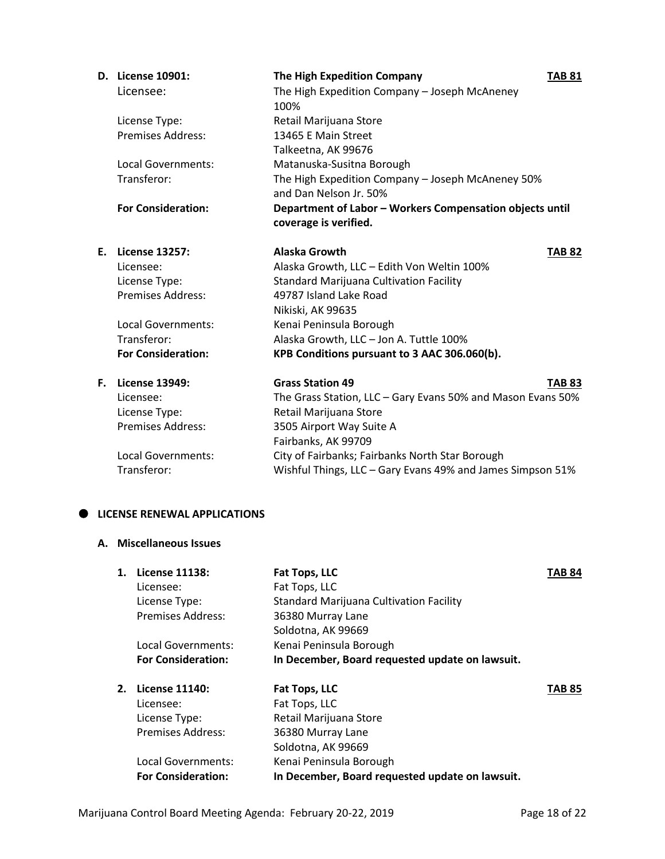|    | D. License 10901:         | The High Expedition Company                                                       | <b>TAB 81</b> |
|----|---------------------------|-----------------------------------------------------------------------------------|---------------|
|    | Licensee:                 | The High Expedition Company - Joseph McAneney                                     |               |
|    |                           | 100%                                                                              |               |
|    | License Type:             | Retail Marijuana Store                                                            |               |
|    | <b>Premises Address:</b>  | 13465 E Main Street                                                               |               |
|    |                           | Talkeetna, AK 99676                                                               |               |
|    | Local Governments:        | Matanuska-Susitna Borough                                                         |               |
|    | Transferor:               | The High Expedition Company - Joseph McAneney 50%<br>and Dan Nelson Jr. 50%       |               |
|    | <b>For Consideration:</b> | Department of Labor - Workers Compensation objects until<br>coverage is verified. |               |
|    | E. License 13257:         | <b>Alaska Growth</b>                                                              | <b>TAB 82</b> |
|    | Licensee:                 | Alaska Growth, LLC - Edith Von Weltin 100%                                        |               |
|    | License Type:             | Standard Marijuana Cultivation Facility                                           |               |
|    | Premises Address:         | 49787 Island Lake Road                                                            |               |
|    |                           | Nikiski, AK 99635                                                                 |               |
|    | Local Governments:        | Kenai Peninsula Borough                                                           |               |
|    | Transferor:               | Alaska Growth, LLC - Jon A. Tuttle 100%                                           |               |
|    | <b>For Consideration:</b> | KPB Conditions pursuant to 3 AAC 306.060(b).                                      |               |
| F. | <b>License 13949:</b>     | <b>Grass Station 49</b>                                                           | <b>TAB 83</b> |
|    | Licensee:                 | The Grass Station, LLC - Gary Evans 50% and Mason Evans 50%                       |               |
|    | License Type:             | Retail Marijuana Store                                                            |               |
|    | <b>Premises Address:</b>  | 3505 Airport Way Suite A                                                          |               |
|    |                           | Fairbanks, AK 99709                                                               |               |
|    | <b>Local Governments:</b> | City of Fairbanks; Fairbanks North Star Borough                                   |               |
|    | Transferor:               | Wishful Things, LLC - Gary Evans 49% and James Simpson 51%                        |               |

### $\bullet$  LICENSE RENEWAL APPLICATIONS

# **A. Miscellaneous Issues**

| $\mathbf 1$ . | <b>License 11138:</b>     | Fat Tops, LLC                                   | <b>TAB 84</b> |
|---------------|---------------------------|-------------------------------------------------|---------------|
|               | Licensee:                 | Fat Tops, LLC                                   |               |
|               | License Type:             | <b>Standard Marijuana Cultivation Facility</b>  |               |
|               | <b>Premises Address:</b>  | 36380 Murray Lane                               |               |
|               |                           | Soldotna, AK 99669                              |               |
|               | Local Governments:        | Kenai Peninsula Borough                         |               |
|               | <b>For Consideration:</b> | In December, Board requested update on lawsuit. |               |
| 2.            | License 11140:            | Fat Tops, LLC                                   | <b>TAB 85</b> |
|               | Licensee:                 | Fat Tops, LLC                                   |               |
|               | License Type:             | Retail Marijuana Store                          |               |
|               | <b>Premises Address:</b>  | 36380 Murray Lane                               |               |
|               |                           | Soldotna, AK 99669                              |               |
|               | Local Governments:        | Kenai Peninsula Borough                         |               |
|               | <b>For Consideration:</b> | In December, Board requested update on lawsuit. |               |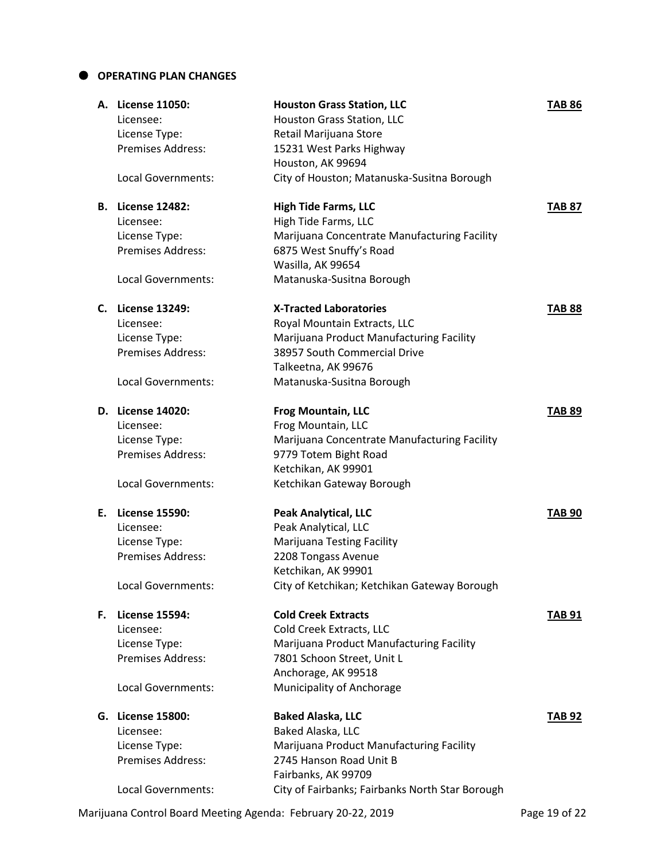### **OPERATING PLAN CHANGES**

|    | A. License 11050:         | <b>Houston Grass Station, LLC</b>               | <b>TAB 86</b> |
|----|---------------------------|-------------------------------------------------|---------------|
|    | Licensee:                 | Houston Grass Station, LLC                      |               |
|    | License Type:             | Retail Marijuana Store                          |               |
|    | Premises Address:         | 15231 West Parks Highway                        |               |
|    |                           | Houston, AK 99694                               |               |
|    | Local Governments:        | City of Houston; Matanuska-Susitna Borough      |               |
|    |                           |                                                 |               |
|    | <b>B.</b> License 12482:  | <b>High Tide Farms, LLC</b>                     | <b>TAB 87</b> |
|    | Licensee:                 | High Tide Farms, LLC                            |               |
|    | License Type:             | Marijuana Concentrate Manufacturing Facility    |               |
|    | Premises Address:         | 6875 West Snuffy's Road                         |               |
|    |                           | Wasilla, AK 99654                               |               |
|    | Local Governments:        | Matanuska-Susitna Borough                       |               |
|    | C. License 13249:         | <b>X-Tracted Laboratories</b>                   | <b>TAB 88</b> |
|    | Licensee:                 | Royal Mountain Extracts, LLC                    |               |
|    | License Type:             | Marijuana Product Manufacturing Facility        |               |
|    | Premises Address:         | 38957 South Commercial Drive                    |               |
|    |                           | Talkeetna, AK 99676                             |               |
|    | Local Governments:        | Matanuska-Susitna Borough                       |               |
|    | D. License 14020:         | <b>Frog Mountain, LLC</b>                       | <b>TAB 89</b> |
|    | Licensee:                 | Frog Mountain, LLC                              |               |
|    | License Type:             | Marijuana Concentrate Manufacturing Facility    |               |
|    | <b>Premises Address:</b>  | 9779 Totem Bight Road                           |               |
|    |                           | Ketchikan, AK 99901                             |               |
|    | Local Governments:        |                                                 |               |
|    |                           | Ketchikan Gateway Borough                       |               |
|    | E. License 15590:         | <b>Peak Analytical, LLC</b>                     | <b>TAB 90</b> |
|    | Licensee:                 | Peak Analytical, LLC                            |               |
|    | License Type:             | <b>Marijuana Testing Facility</b>               |               |
|    | <b>Premises Address:</b>  | 2208 Tongass Avenue                             |               |
|    |                           | Ketchikan, AK 99901                             |               |
|    | Local Governments:        | City of Ketchikan; Ketchikan Gateway Borough    |               |
| F. | <b>License 15594:</b>     | <b>Cold Creek Extracts</b>                      | <b>TAB 91</b> |
|    | Licensee:                 | Cold Creek Extracts, LLC                        |               |
|    | License Type:             | Marijuana Product Manufacturing Facility        |               |
|    | Premises Address:         | 7801 Schoon Street, Unit L                      |               |
|    |                           | Anchorage, AK 99518                             |               |
|    | Local Governments:        | Municipality of Anchorage                       |               |
|    |                           |                                                 |               |
|    | G. License 15800:         | <b>Baked Alaska, LLC</b>                        | <b>TAB 92</b> |
|    | Licensee:                 | Baked Alaska, LLC                               |               |
|    | License Type:             | Marijuana Product Manufacturing Facility        |               |
|    | Premises Address:         | 2745 Hanson Road Unit B                         |               |
|    |                           | Fairbanks, AK 99709                             |               |
|    | <b>Local Governments:</b> | City of Fairbanks; Fairbanks North Star Borough |               |

Marijuana Control Board Meeting Agenda: February 20-22, 2019 Page 19 of 22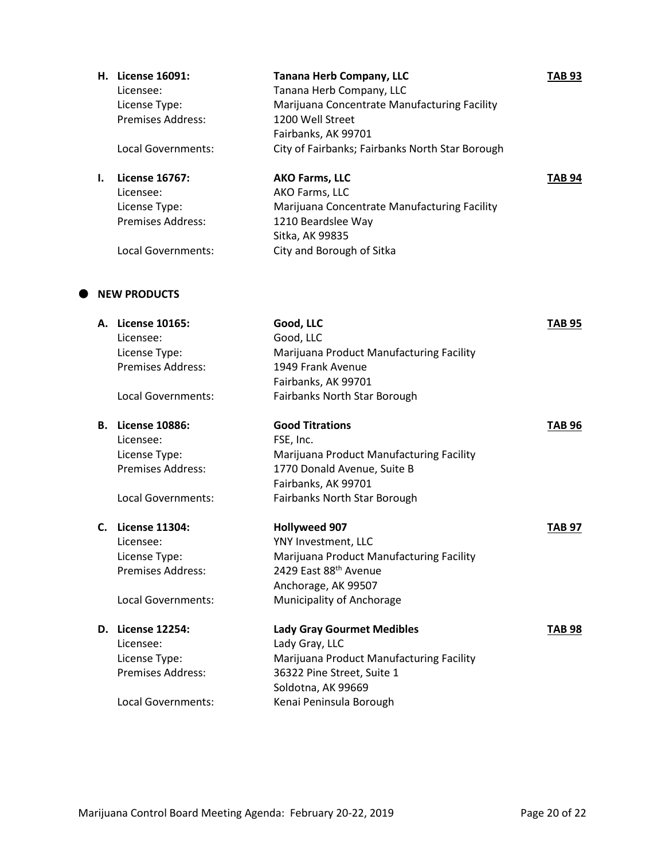| Н. | License 16091:     | <b>Tanana Herb Company, LLC</b>                 | TAB 93        |
|----|--------------------|-------------------------------------------------|---------------|
|    | Licensee:          | Tanana Herb Company, LLC                        |               |
|    | License Type:      | Marijuana Concentrate Manufacturing Facility    |               |
|    | Premises Address:  | 1200 Well Street                                |               |
|    |                    | Fairbanks, AK 99701                             |               |
|    | Local Governments: | City of Fairbanks; Fairbanks North Star Borough |               |
|    | License 16767:     | <b>AKO Farms, LLC</b>                           | <b>TAB 94</b> |
|    | Licensee:          | AKO Farms, LLC                                  |               |
|    | License Type:      | Marijuana Concentrate Manufacturing Facility    |               |
|    | Premises Address:  | 1210 Beardslee Way                              |               |
|    |                    | Sitka, AK 99835                                 |               |

# Local Governments: City and Borough of Sitka

# $\bullet$  NEW PRODUCTS

| А. | <b>License 10165:</b>    | Good, LLC                                | TAB 95        |
|----|--------------------------|------------------------------------------|---------------|
|    | Licensee:                | Good, LLC                                |               |
|    | License Type:            | Marijuana Product Manufacturing Facility |               |
|    | Premises Address:        | 1949 Frank Avenue                        |               |
|    |                          | Fairbanks, AK 99701                      |               |
|    | Local Governments:       | Fairbanks North Star Borough             |               |
| В. | <b>License 10886:</b>    | <b>Good Titrations</b>                   | <b>TAB 96</b> |
|    | Licensee:                | FSE, Inc.                                |               |
|    | License Type:            | Marijuana Product Manufacturing Facility |               |
|    | <b>Premises Address:</b> | 1770 Donald Avenue, Suite B              |               |
|    |                          | Fairbanks, AK 99701                      |               |
|    | Local Governments:       | Fairbanks North Star Borough             |               |
|    | C. License 11304:        | <b>Hollyweed 907</b>                     | <b>TAB 97</b> |
|    | Licensee:                | YNY Investment, LLC                      |               |
|    | License Type:            | Marijuana Product Manufacturing Facility |               |
|    | <b>Premises Address:</b> | 2429 East 88th Avenue                    |               |
|    |                          | Anchorage, AK 99507                      |               |
|    | Local Governments:       | Municipality of Anchorage                |               |
|    | D. License 12254:        | <b>Lady Gray Gourmet Medibles</b>        | <b>TAB 98</b> |
|    | Licensee:                | Lady Gray, LLC                           |               |
|    | License Type:            | Marijuana Product Manufacturing Facility |               |
|    | <b>Premises Address:</b> | 36322 Pine Street, Suite 1               |               |
|    |                          | Soldotna, AK 99669                       |               |
|    | Local Governments:       | Kenai Peninsula Borough                  |               |
|    |                          |                                          |               |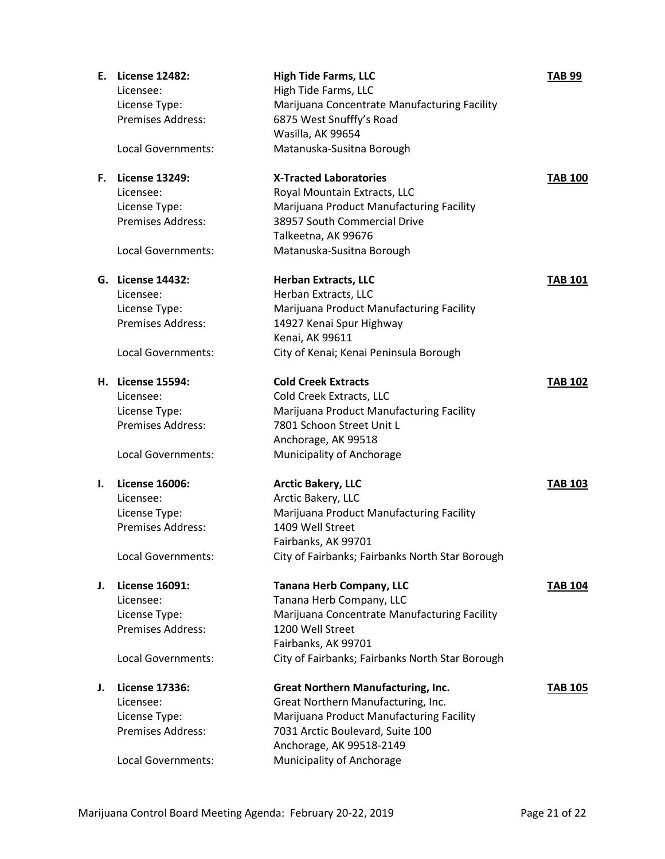| Ε. | <b>License 12482:</b>    | <b>High Tide Farms, LLC</b>                     | <b>TAB 99</b>  |
|----|--------------------------|-------------------------------------------------|----------------|
|    | Licensee:                | High Tide Farms, LLC                            |                |
|    | License Type:            | Marijuana Concentrate Manufacturing Facility    |                |
|    | <b>Premises Address:</b> | 6875 West Snufffy's Road                        |                |
|    |                          | Wasilla, AK 99654                               |                |
|    | Local Governments:       | Matanuska-Susitna Borough                       |                |
| F. | <b>License 13249:</b>    | <b>X-Tracted Laboratories</b>                   | <b>TAB 100</b> |
|    | Licensee:                | Royal Mountain Extracts, LLC                    |                |
|    | License Type:            | Marijuana Product Manufacturing Facility        |                |
|    | Premises Address:        | 38957 South Commercial Drive                    |                |
|    |                          | Talkeetna, AK 99676                             |                |
|    | Local Governments:       | Matanuska-Susitna Borough                       |                |
|    | G. License 14432:        | <b>Herban Extracts, LLC</b>                     | <b>TAB 101</b> |
|    | Licensee:                | Herban Extracts, LLC                            |                |
|    | License Type:            | Marijuana Product Manufacturing Facility        |                |
|    | Premises Address:        | 14927 Kenai Spur Highway                        |                |
|    |                          | Kenai, AK 99611                                 |                |
|    | Local Governments:       | City of Kenai; Kenai Peninsula Borough          |                |
|    | H. License 15594:        | <b>Cold Creek Extracts</b>                      | <b>TAB 102</b> |
|    | Licensee:                | Cold Creek Extracts, LLC                        |                |
|    | License Type:            | Marijuana Product Manufacturing Facility        |                |
|    | <b>Premises Address:</b> | 7801 Schoon Street Unit L                       |                |
|    |                          | Anchorage, AK 99518                             |                |
|    | Local Governments:       | Municipality of Anchorage                       |                |
| ı. | <b>License 16006:</b>    | <b>Arctic Bakery, LLC</b>                       | <b>TAB 103</b> |
|    | Licensee:                | Arctic Bakery, LLC                              |                |
|    | License Type:            | Marijuana Product Manufacturing Facility        |                |
|    | Premises Address:        | 1409 Well Street                                |                |
|    |                          | Fairbanks, AK 99701                             |                |
|    | Local Governments:       | City of Fairbanks; Fairbanks North Star Borough |                |
| J. | <b>License 16091:</b>    | <b>Tanana Herb Company, LLC</b>                 | <b>TAB 104</b> |
|    | Licensee:                | Tanana Herb Company, LLC                        |                |
|    | License Type:            | Marijuana Concentrate Manufacturing Facility    |                |
|    | <b>Premises Address:</b> | 1200 Well Street                                |                |
|    |                          | Fairbanks, AK 99701                             |                |
|    | Local Governments:       | City of Fairbanks; Fairbanks North Star Borough |                |
| J. | <b>License 17336:</b>    | <b>Great Northern Manufacturing, Inc.</b>       | <b>TAB 105</b> |
|    | Licensee:                | Great Northern Manufacturing, Inc.              |                |
|    | License Type:            | Marijuana Product Manufacturing Facility        |                |
|    | <b>Premises Address:</b> | 7031 Arctic Boulevard, Suite 100                |                |
|    |                          | Anchorage, AK 99518-2149                        |                |
|    | Local Governments:       | Municipality of Anchorage                       |                |